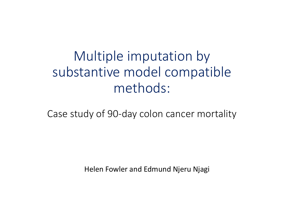## Multiple imputation by substantive model compatible methods:

Case study of 90-day colon cancer mortality

Helen Fowler and Edmund Njeru Njagi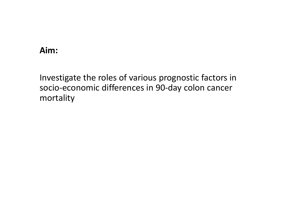### Aim:

Investigate the roles of various prognostic factors in socio-economic differences in 90-day colon cancer mortality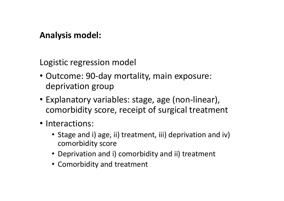### Analysis model:

Logistic regression model

- Outcome: 90-day mortality, main exposure: deprivation group
- Explanatory variables: stage, age (non-linear), comorbidity score, receipt of surgical treatment
- Interactions:
	- Stage and i) age, ii) treatment, iii) deprivation and iv) comorbidity score
	- Deprivation and i) comorbidity and ii) treatment
	- Comorbidity and treatment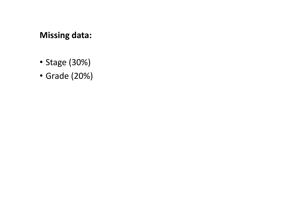Missing data:

- Stage (30%)
- Grade (20%)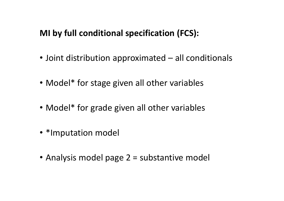## MI by full conditional specification (FCS):

- MI by full conditional specification (FCS):<br>• Joint distribution approximated all conditionals<br>• Model\* for stage given all other variables
- Model\* for stage given all other variables
- Model<sup>\*</sup> for grade given all other variables
- \*Imputation model
- Analysis model page 2 = substantive model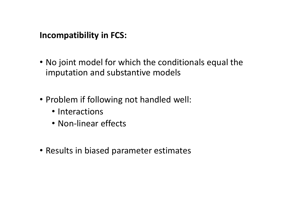### Incompatibility in FCS:

- No joint model for which the conditionals equal the imputation and substantive models
- Problem if following not handled well:
	- Interactions
	- Non-linear effects
- Results in biased parameter estimates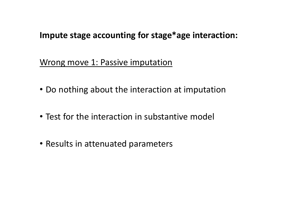### Impute stage accounting for stage\*age interaction:

Wrong move 1: Passive imputation

- Do nothing about the interaction at imputation
- Test for the interaction in substantive model
- Results in attenuated parameters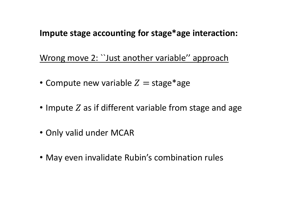## Impute stage accounting for stage\*age interaction:

Wrong move 2: ``Just another variable'' approach

- Compute new variable  $Z = \text{stage}^*$ age
- Impute  $Z$  as if different variable from stage and age
- Only valid under MCAR
- May even invalidate Rubin's combination rules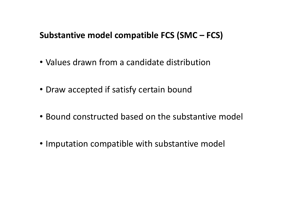# Substantive model compatible FCS (SMC – FCS)<br>• Values drawn from a candidate distribution

- Values drawn from a candidate distribution
- Draw accepted if satisfy certain bound
- Bound constructed based on the substantive model
- Imputation compatible with substantive model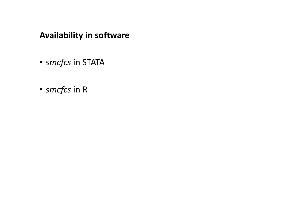### Availability in software

- smcfcs in STATA
- smcfcs in R